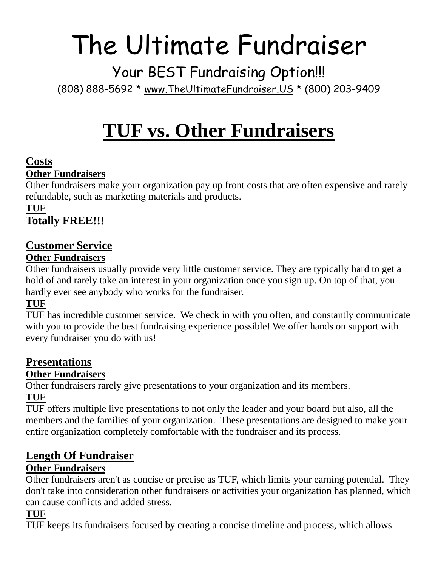# The Ultimate Fundraiser

Your BEST Fundraising Option!!! (808) 888-5692 \* [www.TheUltimateFundraiser.US](http://www.theultimatefundraiser.us/) \* (800) 203-9409

# **TUF vs. Other Fundraisers**

#### **Costs Other Fundraisers**

Other fundraisers make your organization pay up front costs that are often expensive and rarely refundable, such as marketing materials and products.

#### **TUF Totally FREE!!!**

## **Customer Service**

#### **Other Fundraisers**

Other fundraisers usually provide very little customer service. They are typically hard to get a hold of and rarely take an interest in your organization once you sign up. On top of that, you hardly ever see anybody who works for the fundraiser.

### **TUF**

TUF has incredible customer service. We check in with you often, and constantly communicate with you to provide the best fundraising experience possible! We offer hands on support with every fundraiser you do with us!

# **Presentations**

#### **Other Fundraisers**

Other fundraisers rarely give presentations to your organization and its members. **TUF**

TUF offers multiple live presentations to not only the leader and your board but also, all the members and the families of your organization. These presentations are designed to make your entire organization completely comfortable with the fundraiser and its process.

# **Length Of Fundraiser**

#### **Other Fundraisers**

Other fundraisers aren't as concise or precise as TUF, which limits your earning potential. They don't take into consideration other fundraisers or activities your organization has planned, which can cause conflicts and added stress.

#### **TUF**

TUF keeps its fundraisers focused by creating a concise timeline and process, which allows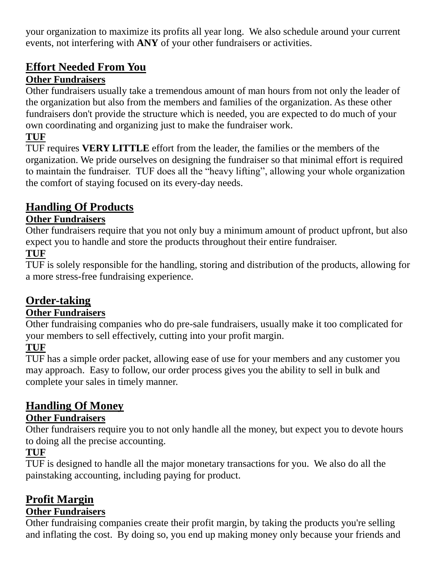your organization to maximize its profits all year long. We also schedule around your current events, not interfering with **ANY** of your other fundraisers or activities.

# **Effort Needed From You**

#### **Other Fundraisers**

Other fundraisers usually take a tremendous amount of man hours from not only the leader of the organization but also from the members and families of the organization. As these other fundraisers don't provide the structure which is needed, you are expected to do much of your own coordinating and organizing just to make the fundraiser work.

#### **TUF**

TUF requires **VERY LITTLE** effort from the leader, the families or the members of the organization. We pride ourselves on designing the fundraiser so that minimal effort is required to maintain the fundraiser. TUF does all the "heavy lifting", allowing your whole organization the comfort of staying focused on its every-day needs.

# **Handling Of Products**

#### **Other Fundraisers**

Other fundraisers require that you not only buy a minimum amount of product upfront, but also expect you to handle and store the products throughout their entire fundraiser.

#### **TUF**

TUF is solely responsible for the handling, storing and distribution of the products, allowing for a more stress-free fundraising experience.

#### **Order-taking**

#### **Other Fundraisers**

Other fundraising companies who do pre-sale fundraisers, usually make it too complicated for your members to sell effectively, cutting into your profit margin.

#### **TUF**

TUF has a simple order packet, allowing ease of use for your members and any customer you may approach. Easy to follow, our order process gives you the ability to sell in bulk and complete your sales in timely manner.

### **Handling Of Money**

#### **Other Fundraisers**

Other fundraisers require you to not only handle all the money, but expect you to devote hours to doing all the precise accounting.

#### **TUF**

TUF is designed to handle all the major monetary transactions for you. We also do all the painstaking accounting, including paying for product.

# **Profit Margin**

#### **Other Fundraisers**

Other fundraising companies create their profit margin, by taking the products you're selling and inflating the cost. By doing so, you end up making money only because your friends and